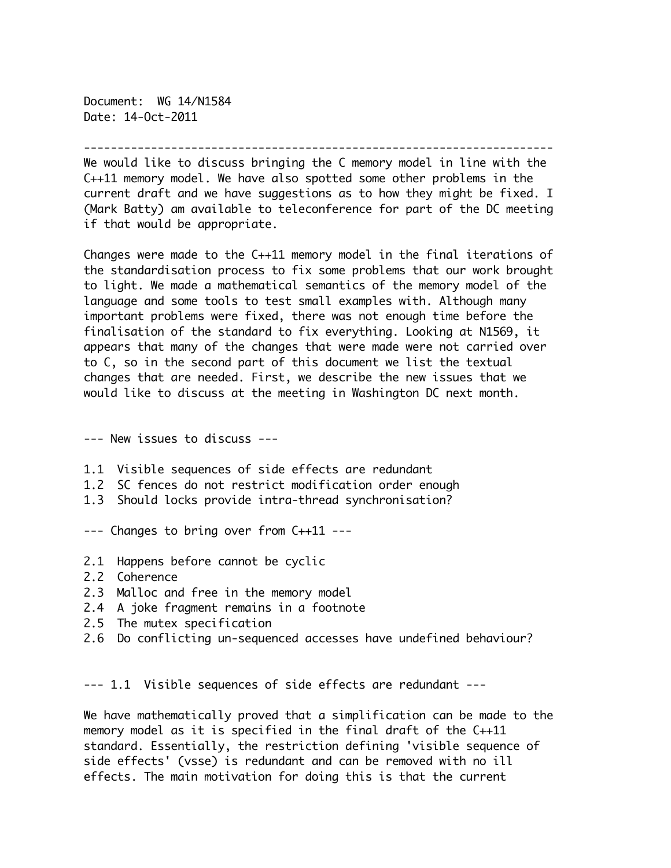Document: WG 14/N1584 Date: 14-Oct-2011

----------------------------------------------------------------------

We would like to discuss bringing the C memory model in line with the C++11 memory model. We have also spotted some other problems in the current draft and we have suggestions as to how they might be fixed. I (Mark Batty) am available to teleconference for part of the DC meeting if that would be appropriate.

Changes were made to the C++11 memory model in the final iterations of the standardisation process to fix some problems that our work brought to light. We made a mathematical semantics of the memory model of the language and some tools to test small examples with. Although many important problems were fixed, there was not enough time before the finalisation of the standard to fix everything. Looking at N1569, it appears that many of the changes that were made were not carried over to C, so in the second part of this document we list the textual changes that are needed. First, we describe the new issues that we would like to discuss at the meeting in Washington DC next month.

--- New issues to discuss ---

- 1.1 Visible sequences of side effects are redundant
- 1.2 SC fences do not restrict modification order enough
- 1.3 Should locks provide intra-thread synchronisation?

--- Changes to bring over from C++11 ---

- 2.1 Happens before cannot be cyclic
- 2.2 Coherence
- 2.3 Malloc and free in the memory model
- 2.4 A joke fragment remains in a footnote
- 2.5 The mutex specification
- 2.6 Do conflicting un-sequenced accesses have undefined behaviour?

--- 1.1 Visible sequences of side effects are redundant ---

We have mathematically proved that a simplification can be made to the memory model as it is specified in the final draft of the C++11 standard. Essentially, the restriction defining 'visible sequence of side effects' (vsse) is redundant and can be removed with no ill effects. The main motivation for doing this is that the current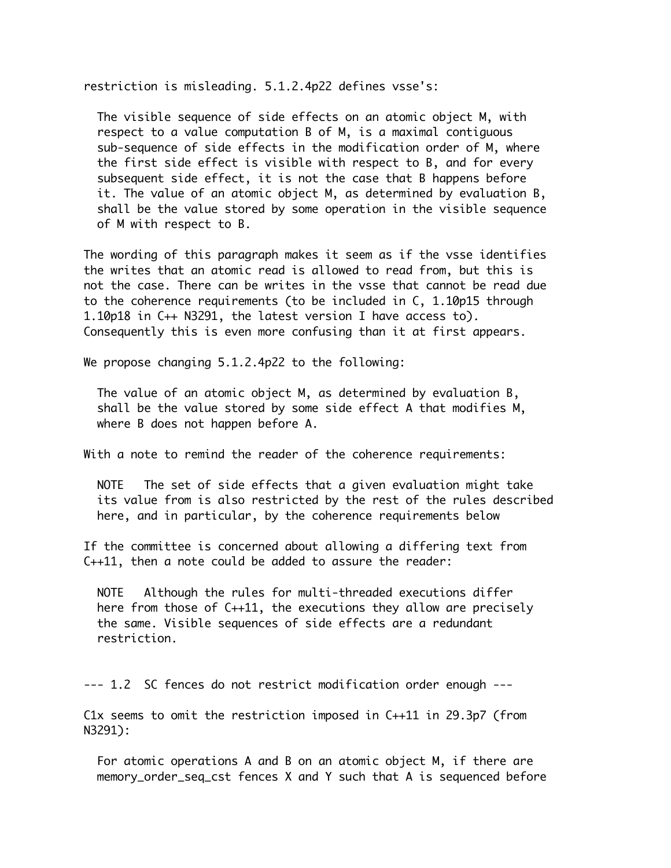restriction is misleading. 5.1.2.4p22 defines vsse's:

 The visible sequence of side effects on an atomic object M, with respect to a value computation B of M, is a maximal contiguous sub-sequence of side effects in the modification order of M, where the first side effect is visible with respect to B, and for every subsequent side effect, it is not the case that B happens before it. The value of an atomic object M, as determined by evaluation B, shall be the value stored by some operation in the visible sequence of M with respect to B.

The wording of this paragraph makes it seem as if the vsse identifies the writes that an atomic read is allowed to read from, but this is not the case. There can be writes in the vsse that cannot be read due to the coherence requirements (to be included in C, 1.10p15 through 1.10p18 in C++ N3291, the latest version I have access to). Consequently this is even more confusing than it at first appears.

We propose changing 5.1.2.4p22 to the following:

 The value of an atomic object M, as determined by evaluation B, shall be the value stored by some side effect A that modifies M, where B does not happen before A.

With a note to remind the reader of the coherence requirements:

 NOTE The set of side effects that a given evaluation might take its value from is also restricted by the rest of the rules described here, and in particular, by the coherence requirements below

If the committee is concerned about allowing a differing text from C++11, then a note could be added to assure the reader:

 NOTE Although the rules for multi-threaded executions differ here from those of C++11, the executions they allow are precisely the same. Visible sequences of side effects are a redundant restriction.

--- 1.2 SC fences do not restrict modification order enough ---

C1x seems to omit the restriction imposed in C++11 in 29.3p7 (from N3291):

 For atomic operations A and B on an atomic object M, if there are memory\_order\_seq\_cst fences X and Y such that A is sequenced before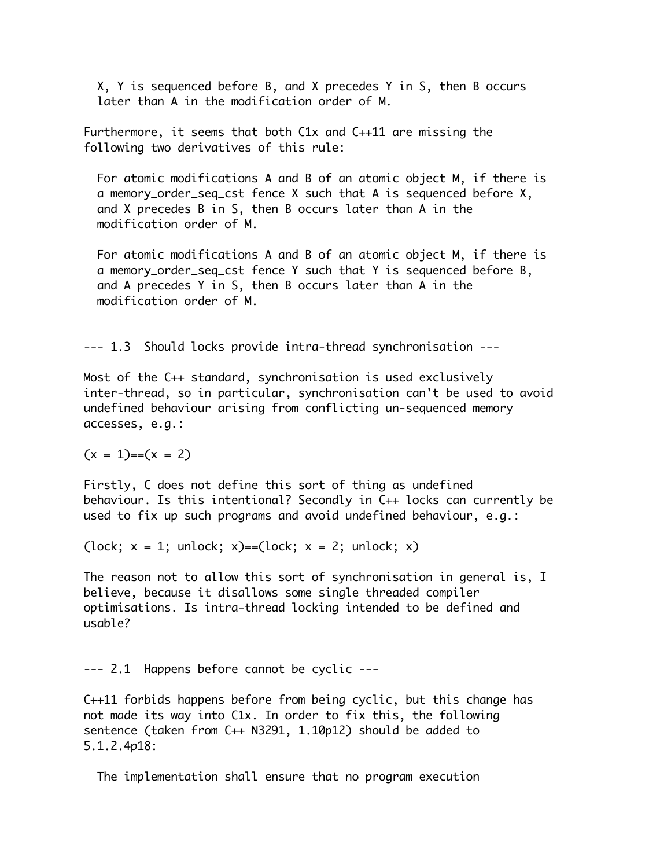X, Y is sequenced before B, and X precedes Y in S, then B occurs later than A in the modification order of M.

Furthermore, it seems that both C1x and C++11 are missing the following two derivatives of this rule:

 For atomic modifications A and B of an atomic object M, if there is a memory\_order\_seq\_cst fence X such that A is sequenced before X, and X precedes B in S, then B occurs later than A in the modification order of M.

 For atomic modifications A and B of an atomic object M, if there is a memory\_order\_seq\_cst fence Y such that Y is sequenced before B, and A precedes Y in S, then B occurs later than A in the modification order of M.

--- 1.3 Should locks provide intra-thread synchronisation ---

Most of the C++ standard, synchronisation is used exclusively inter-thread, so in particular, synchronisation can't be used to avoid undefined behaviour arising from conflicting un-sequenced memory accesses, e.g.:

 $(x = 1) = (x = 2)$ 

Firstly, C does not define this sort of thing as undefined behaviour. Is this intentional? Secondly in C++ locks can currently be used to fix up such programs and avoid undefined behaviour, e.g.:

(lock;  $x = 1$ ; unlock;  $x$ )==(lock;  $x = 2$ ; unlock;  $x$ )

The reason not to allow this sort of synchronisation in general is, I believe, because it disallows some single threaded compiler optimisations. Is intra-thread locking intended to be defined and usable?

--- 2.1 Happens before cannot be cyclic ---

C++11 forbids happens before from being cyclic, but this change has not made its way into C1x. In order to fix this, the following sentence (taken from C++ N3291, 1.10p12) should be added to 5.1.2.4p18:

The implementation shall ensure that no program execution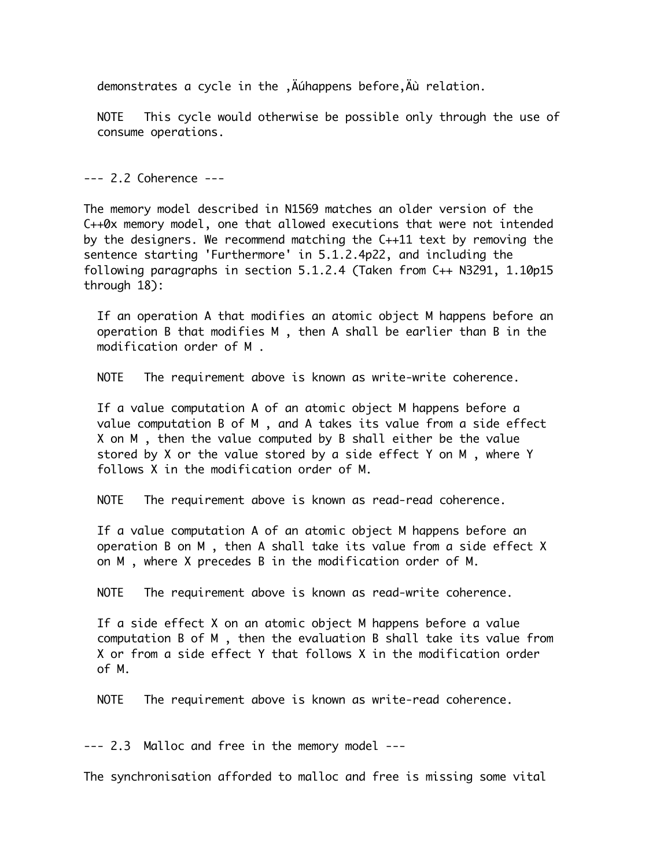demonstrates a cycle in the , Auhappens before, Au relation.

 NOTE This cycle would otherwise be possible only through the use of consume operations.

--- 2.2 Coherence ---

The memory model described in N1569 matches an older version of the C++0x memory model, one that allowed executions that were not intended by the designers. We recommend matching the C++11 text by removing the sentence starting 'Furthermore' in 5.1.2.4p22, and including the following paragraphs in section 5.1.2.4 (Taken from C++ N3291, 1.10p15 through 18):

 If an operation A that modifies an atomic object M happens before an operation B that modifies M , then A shall be earlier than B in the modification order of M .

NOTE The requirement above is known as write-write coherence.

 If a value computation A of an atomic object M happens before a value computation B of M , and A takes its value from a side effect X on M , then the value computed by B shall either be the value stored by X or the value stored by a side effect Y on M , where Y follows X in the modification order of M.

NOTE The requirement above is known as read-read coherence.

 If a value computation A of an atomic object M happens before an operation B on M , then A shall take its value from a side effect X on M , where X precedes B in the modification order of M.

NOTE The requirement above is known as read-write coherence.

 If a side effect X on an atomic object M happens before a value computation B of M , then the evaluation B shall take its value from X or from a side effect Y that follows X in the modification order of M.

NOTE The requirement above is known as write-read coherence.

--- 2.3 Malloc and free in the memory model ---

The synchronisation afforded to malloc and free is missing some vital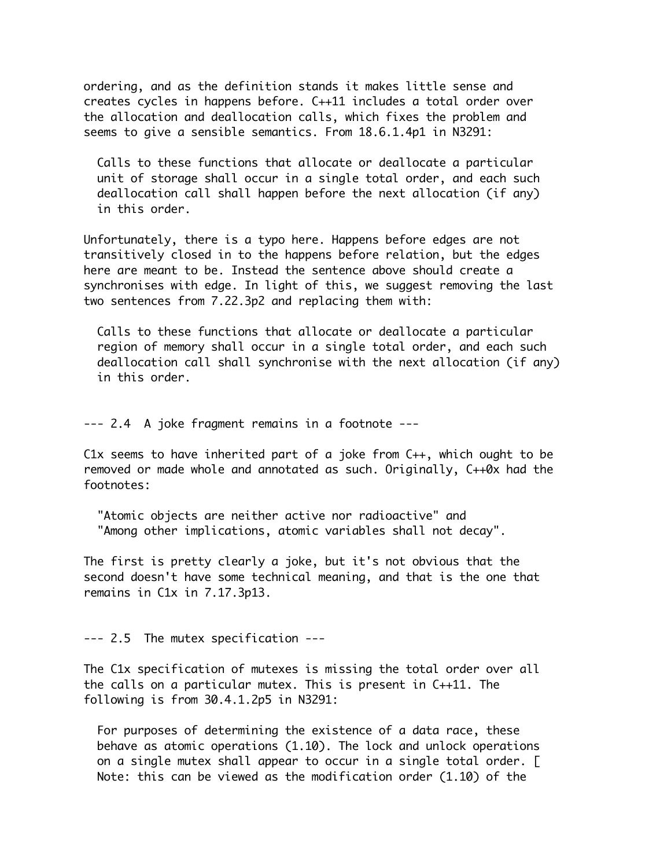ordering, and as the definition stands it makes little sense and creates cycles in happens before. C++11 includes a total order over the allocation and deallocation calls, which fixes the problem and seems to give a sensible semantics. From 18.6.1.4p1 in N3291:

 Calls to these functions that allocate or deallocate a particular unit of storage shall occur in a single total order, and each such deallocation call shall happen before the next allocation (if any) in this order.

Unfortunately, there is a typo here. Happens before edges are not transitively closed in to the happens before relation, but the edges here are meant to be. Instead the sentence above should create a synchronises with edge. In light of this, we suggest removing the last two sentences from 7.22.3p2 and replacing them with:

 Calls to these functions that allocate or deallocate a particular region of memory shall occur in a single total order, and each such deallocation call shall synchronise with the next allocation (if any) in this order.

--- 2.4 A joke fragment remains in a footnote ---

C1x seems to have inherited part of a joke from C++, which ought to be removed or made whole and annotated as such. Originally, C++0x had the footnotes:

 "Atomic objects are neither active nor radioactive" and "Among other implications, atomic variables shall not decay".

The first is pretty clearly a joke, but it's not obvious that the second doesn't have some technical meaning, and that is the one that remains in C1x in 7.17.3p13.

--- 2.5 The mutex specification ---

The C1x specification of mutexes is missing the total order over all the calls on a particular mutex. This is present in C++11. The following is from 30.4.1.2p5 in N3291:

 For purposes of determining the existence of a data race, these behave as atomic operations (1.10). The lock and unlock operations on a single mutex shall appear to occur in a single total order. [ Note: this can be viewed as the modification order (1.10) of the